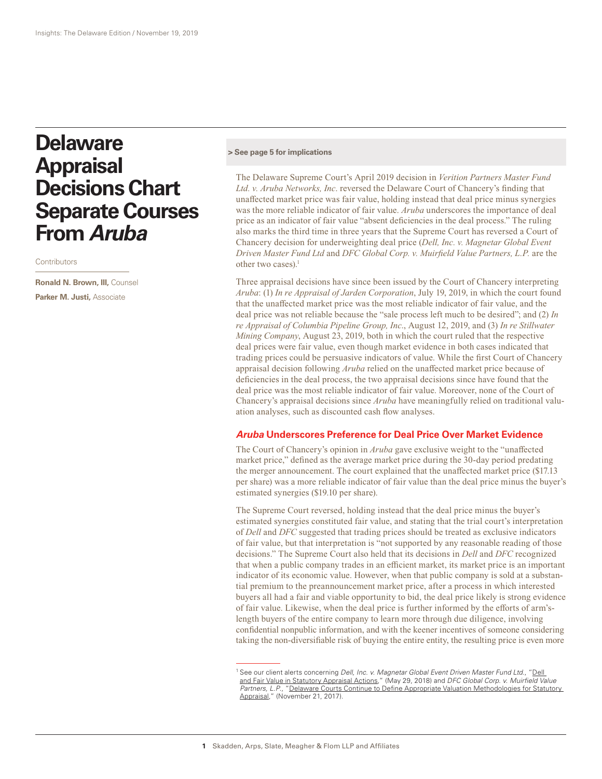# **Delaware Appraisal Decisions Chart Separate Courses From** *Aruba*

**Contributors** 

**Ronald N. Brown, III,** Counsel **Parker M. Justi,** Associate

#### **[> See page 5 for implications](#page-4-0)**

The Delaware Supreme Court's April 2019 decision in *Verition Partners Master Fund Ltd. v. Aruba Networks, Inc*. reversed the Delaware Court of Chancery's finding that unaffected market price was fair value, holding instead that deal price minus synergies was the more reliable indicator of fair value. *Aruba* underscores the importance of deal price as an indicator of fair value "absent deficiencies in the deal process." The ruling also marks the third time in three years that the Supreme Court has reversed a Court of Chancery decision for underweighting deal price (*Dell, Inc. v. Magnetar Global Event Driven Master Fund Ltd* and *DFC Global Corp. v. Muirfield Value Partners, L.P.* are the other two cases).<sup>1</sup>

Three appraisal decisions have since been issued by the Court of Chancery interpreting *Aruba*: (1) *In re Appraisal of Jarden Corporation*, July 19, 2019, in which the court found that the unaffected market price was the most reliable indicator of fair value, and the deal price was not reliable because the "sale process left much to be desired"; and (2) *In re Appraisal of Columbia Pipeline Group, Inc*., August 12, 2019, and (3) *In re Stillwater Mining Company*, August 23, 2019, both in which the court ruled that the respective deal prices were fair value, even though market evidence in both cases indicated that trading prices could be persuasive indicators of value. While the first Court of Chancery appraisal decision following *Aruba* relied on the unaffected market price because of deficiencies in the deal process, the two appraisal decisions since have found that the deal price was the most reliable indicator of fair value. Moreover, none of the Court of Chancery's appraisal decisions since *Aruba* have meaningfully relied on traditional valuation analyses, such as discounted cash flow analyses.

## *Aruba* **Underscores Preference for Deal Price Over Market Evidence**

The Court of Chancery's opinion in *Aruba* gave exclusive weight to the "unaffected market price," defined as the average market price during the 30-day period predating the merger announcement. The court explained that the unaffected market price (\$17.13 per share) was a more reliable indicator of fair value than the deal price minus the buyer's estimated synergies (\$19.10 per share).

The Supreme Court reversed, holding instead that the deal price minus the buyer's estimated synergies constituted fair value, and stating that the trial court's interpretation of *Dell* and *DFC* suggested that trading prices should be treated as exclusive indicators of fair value, but that interpretation is "not supported by any reasonable reading of those decisions." The Supreme Court also held that its decisions in *Dell* and *DFC* recognized that when a public company trades in an efficient market, its market price is an important indicator of its economic value. However, when that public company is sold at a substantial premium to the preannouncement market price, after a process in which interested buyers all had a fair and viable opportunity to bid, the deal price likely is strong evidence of fair value. Likewise, when the deal price is further informed by the efforts of arm'slength buyers of the entire company to learn more through due diligence, involving confidential nonpublic information, and with the keener incentives of someone considering taking the non-diversifiable risk of buying the entire entity, the resulting price is even more

<sup>1</sup> See our client alerts concerning *Dell, Inc. v. Magnetar Global Event Driven Master Fund Ltd*., "[Dell](https://www.skadden.com/insights/publications/2018/05/insights-the-delaware-edition/dell-and-fair-value-in-statutory-appraisal-actions)  [and Fair Value in Statutory Appraisal Actions](https://www.skadden.com/insights/publications/2018/05/insights-the-delaware-edition/dell-and-fair-value-in-statutory-appraisal-actions)," (May 29, 2018) and *DFC Global Corp. v. Muirfield Value*  Partners, L.P., "Delaware Courts Continue to Define Appropriate Valuation Methodologies for Statutory [Appraisal,](https://www.skadden.com/insights/publications/2017/11/insights-the-delaware-edition/delaware-courts-continue-to-define-appropriate)" (November 21, 2017).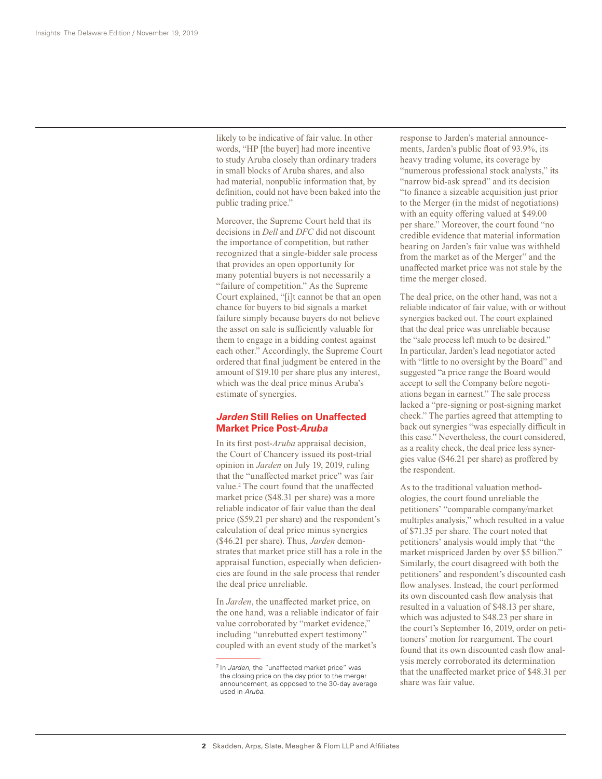likely to be indicative of fair value. In other words, "HP [the buyer] had more incentive to study Aruba closely than ordinary traders in small blocks of Aruba shares, and also had material, nonpublic information that, by definition, could not have been baked into the public trading price."

Moreover, the Supreme Court held that its decisions in *Dell* and *DFC* did not discount the importance of competition, but rather recognized that a single-bidder sale process that provides an open opportunity for many potential buyers is not necessarily a "failure of competition." As the Supreme Court explained, "[i]t cannot be that an open chance for buyers to bid signals a market failure simply because buyers do not believe the asset on sale is sufficiently valuable for them to engage in a bidding contest against each other." Accordingly, the Supreme Court ordered that final judgment be entered in the amount of \$19.10 per share plus any interest, which was the deal price minus Aruba's estimate of synergies.

# *Jarden* **Still Relies on Unaffected Market Price Post-***Aruba*

In its first post-*Aruba* appraisal decision, the Court of Chancery issued its post-trial opinion in *Jarden* on July 19, 2019, ruling that the "unaffected market price" was fair value.<sup>2</sup> The court found that the unaffected market price (\$48.31 per share) was a more reliable indicator of fair value than the deal price (\$59.21 per share) and the respondent's calculation of deal price minus synergies (\$46.21 per share). Thus, *Jarden* demonstrates that market price still has a role in the appraisal function, especially when deficiencies are found in the sale process that render the deal price unreliable.

In *Jarden*, the unaffected market price, on the one hand, was a reliable indicator of fair value corroborated by "market evidence," including "unrebutted expert testimony" coupled with an event study of the market's

response to Jarden's material announcements, Jarden's public float of 93.9%, its heavy trading volume, its coverage by "numerous professional stock analysts," its "narrow bid-ask spread" and its decision "to finance a sizeable acquisition just prior to the Merger (in the midst of negotiations) with an equity offering valued at \$49.00 per share." Moreover, the court found "no credible evidence that material information bearing on Jarden's fair value was withheld from the market as of the Merger" and the unaffected market price was not stale by the time the merger closed.

The deal price, on the other hand, was not a reliable indicator of fair value, with or without synergies backed out. The court explained that the deal price was unreliable because the "sale process left much to be desired." In particular, Jarden's lead negotiator acted with "little to no oversight by the Board" and suggested "a price range the Board would accept to sell the Company before negotiations began in earnest." The sale process lacked a "pre-signing or post-signing market check." The parties agreed that attempting to back out synergies "was especially difficult in this case." Nevertheless, the court considered, as a reality check, the deal price less synergies value (\$46.21 per share) as proffered by the respondent.

As to the traditional valuation methodologies, the court found unreliable the petitioners' "comparable company/market multiples analysis," which resulted in a value of \$71.35 per share. The court noted that petitioners' analysis would imply that "the market mispriced Jarden by over \$5 billion." Similarly, the court disagreed with both the petitioners' and respondent's discounted cash flow analyses. Instead, the court performed its own discounted cash flow analysis that resulted in a valuation of \$48.13 per share, which was adjusted to \$48.23 per share in the court's September 16, 2019, order on petitioners' motion for reargument. The court found that its own discounted cash flow analysis merely corroborated its determination that the unaffected market price of \$48.31 per share was fair value.

<sup>2</sup> In *Jarden*, the "unaffected market price" was the closing price on the day prior to the merger announcement, as opposed to the 30-day average used in *Aruba*.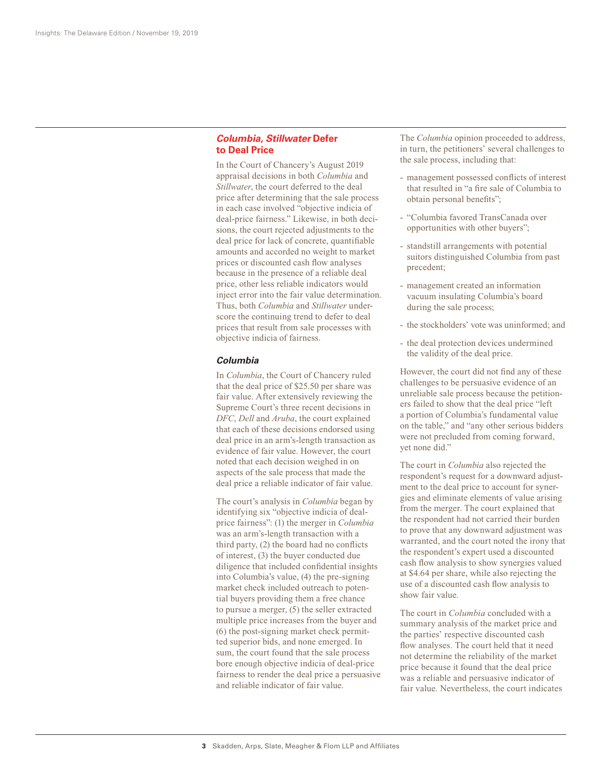## *Columbia***,** *Stillwater* **Defer to Deal Price**

In the Court of Chancery's August 2019 appraisal decisions in both *Columbia* and *Stillwater*, the court deferred to the deal price after determining that the sale process in each case involved "objective indicia of deal-price fairness." Likewise, in both decisions, the court rejected adjustments to the deal price for lack of concrete, quantifiable amounts and accorded no weight to market prices or discounted cash flow analyses because in the presence of a reliable deal price, other less reliable indicators would inject error into the fair value determination. Thus, both *Columbia* and *Stillwater* underscore the continuing trend to defer to deal prices that result from sale processes with objective indicia of fairness.

#### *Columbia*

In *Columbia*, the Court of Chancery ruled that the deal price of \$25.50 per share was fair value. After extensively reviewing the Supreme Court's three recent decisions in *DFC*, *Dell* and *Aruba*, the court explained that each of these decisions endorsed using deal price in an arm's-length transaction as evidence of fair value. However, the court noted that each decision weighed in on aspects of the sale process that made the deal price a reliable indicator of fair value.

The court's analysis in *Columbia* began by identifying six "objective indicia of dealprice fairness": (1) the merger in *Columbia* was an arm's-length transaction with a third party, (2) the board had no conflicts of interest, (3) the buyer conducted due diligence that included confidential insights into Columbia's value, (4) the pre-signing market check included outreach to potential buyers providing them a free chance to pursue a merger, (5) the seller extracted multiple price increases from the buyer and (6) the post-signing market check permitted superior bids, and none emerged. In sum, the court found that the sale process bore enough objective indicia of deal-price fairness to render the deal price a persuasive and reliable indicator of fair value.

The *Columbia* opinion proceeded to address, in turn, the petitioners' several challenges to the sale process, including that:

- management possessed conflicts of interest that resulted in "a fire sale of Columbia to obtain personal benefits";
- "Columbia favored TransCanada over opportunities with other buyers";
- standstill arrangements with potential suitors distinguished Columbia from past precedent;
- management created an information vacuum insulating Columbia's board during the sale process;
- the stockholders' vote was uninformed; and
- the deal protection devices undermined the validity of the deal price.

However, the court did not find any of these challenges to be persuasive evidence of an unreliable sale process because the petitioners failed to show that the deal price "left a portion of Columbia's fundamental value on the table," and "any other serious bidders were not precluded from coming forward, yet none did."

The court in *Columbia* also rejected the respondent's request for a downward adjustment to the deal price to account for synergies and eliminate elements of value arising from the merger. The court explained that the respondent had not carried their burden to prove that any downward adjustment was warranted, and the court noted the irony that the respondent's expert used a discounted cash flow analysis to show synergies valued at \$4.64 per share, while also rejecting the use of a discounted cash flow analysis to show fair value.

The court in *Columbia* concluded with a summary analysis of the market price and the parties' respective discounted cash flow analyses. The court held that it need not determine the reliability of the market price because it found that the deal price was a reliable and persuasive indicator of fair value. Nevertheless, the court indicates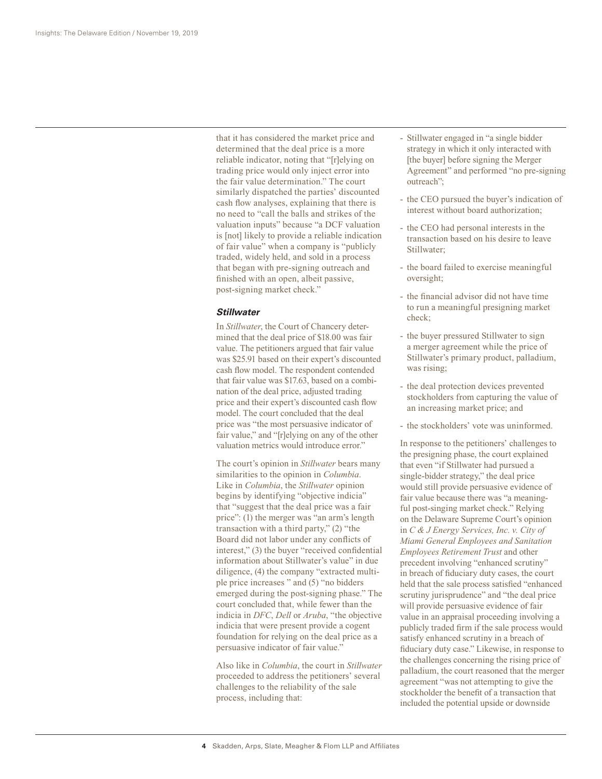that it has considered the market price and determined that the deal price is a more reliable indicator, noting that "[r]elying on trading price would only inject error into the fair value determination." The court similarly dispatched the parties' discounted cash flow analyses, explaining that there is no need to "call the balls and strikes of the valuation inputs" because "a DCF valuation is [not] likely to provide a reliable indication of fair value" when a company is "publicly traded, widely held, and sold in a process that began with pre-signing outreach and finished with an open, albeit passive, post-signing market check."

#### *Stillwater*

In *Stillwater*, the Court of Chancery determined that the deal price of \$18.00 was fair value. The petitioners argued that fair value was \$25.91 based on their expert's discounted cash flow model. The respondent contended that fair value was \$17.63, based on a combination of the deal price, adjusted trading price and their expert's discounted cash flow model. The court concluded that the deal price was "the most persuasive indicator of fair value," and "[r]elying on any of the other valuation metrics would introduce error."

The court's opinion in *Stillwater* bears many similarities to the opinion in *Columbia*. Like in *Columbia*, the *Stillwater* opinion begins by identifying "objective indicia" that "suggest that the deal price was a fair price": (1) the merger was "an arm's length transaction with a third party," (2) "the Board did not labor under any conflicts of interest," (3) the buyer "received confidential information about Stillwater's value" in due diligence, (4) the company "extracted multiple price increases " and (5) "no bidders emerged during the post-signing phase." The court concluded that, while fewer than the indicia in *DFC*, *Dell* or *Aruba*, "the objective indicia that were present provide a cogent foundation for relying on the deal price as a persuasive indicator of fair value."

Also like in *Columbia*, the court in *Stillwater* proceeded to address the petitioners' several challenges to the reliability of the sale process, including that:

- Stillwater engaged in "a single bidder strategy in which it only interacted with [the buyer] before signing the Merger Agreement" and performed "no pre-signing outreach";
- the CEO pursued the buyer's indication of interest without board authorization;
- the CEO had personal interests in the transaction based on his desire to leave Stillwater;
- the board failed to exercise meaningful oversight;
- the financial advisor did not have time to run a meaningful presigning market check;
- the buyer pressured Stillwater to sign a merger agreement while the price of Stillwater's primary product, palladium, was rising;
- the deal protection devices prevented stockholders from capturing the value of an increasing market price; and
- the stockholders' vote was uninformed.

In response to the petitioners' challenges to the presigning phase, the court explained that even "if Stillwater had pursued a single-bidder strategy," the deal price would still provide persuasive evidence of fair value because there was "a meaningful post-singing market check." Relying on the Delaware Supreme Court's opinion in *C & J Energy Services, Inc. v. City of Miami General Employees and Sanitation Employees Retirement Trust* and other precedent involving "enhanced scrutiny" in breach of fiduciary duty cases, the court held that the sale process satisfied "enhanced scrutiny jurisprudence" and "the deal price will provide persuasive evidence of fair value in an appraisal proceeding involving a publicly traded firm if the sale process would satisfy enhanced scrutiny in a breach of fiduciary duty case." Likewise, in response to the challenges concerning the rising price of palladium, the court reasoned that the merger agreement "was not attempting to give the stockholder the benefit of a transaction that included the potential upside or downside